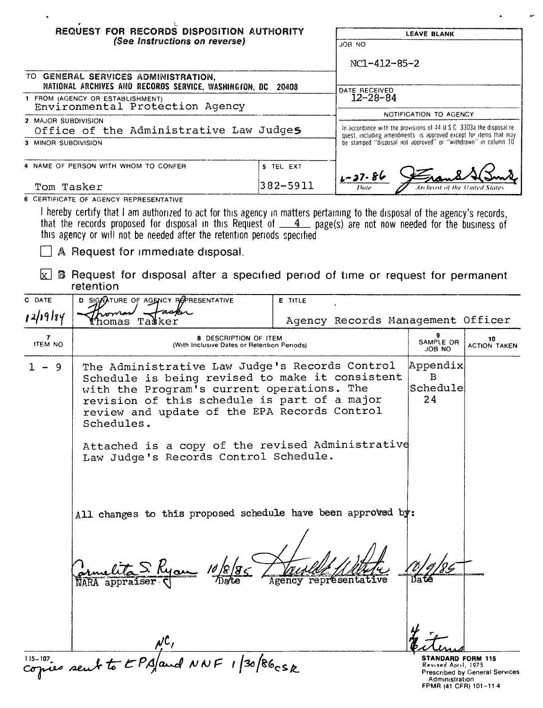|                                                                                       | REQUEST FOR RECORDS DISPOSITION AUTHORITY                                                                                                                                                                                                                                                                                                                                         |                                                                       |                                                                                                                                      | <b>LEAVE BLANK</b>              |                           |
|---------------------------------------------------------------------------------------|-----------------------------------------------------------------------------------------------------------------------------------------------------------------------------------------------------------------------------------------------------------------------------------------------------------------------------------------------------------------------------------|-----------------------------------------------------------------------|--------------------------------------------------------------------------------------------------------------------------------------|---------------------------------|---------------------------|
|                                                                                       | (See Instructions on reverse)                                                                                                                                                                                                                                                                                                                                                     |                                                                       | JOB NO                                                                                                                               |                                 |                           |
|                                                                                       |                                                                                                                                                                                                                                                                                                                                                                                   |                                                                       | NC1-412-85-2                                                                                                                         |                                 |                           |
|                                                                                       | TO GENERAL SERVICES ADMINISTRATION,<br>NATIONAL ARCHIVES AND RECORDS SERVICE, WASHINGION, DC 20408                                                                                                                                                                                                                                                                                |                                                                       |                                                                                                                                      |                                 |                           |
|                                                                                       | 1 FROM (AGENCY OR ESTABLISHMENT)                                                                                                                                                                                                                                                                                                                                                  |                                                                       | DATE RECEIVED<br>$12 - 28 - 84$                                                                                                      |                                 |                           |
|                                                                                       | Environmental Protection Agency                                                                                                                                                                                                                                                                                                                                                   |                                                                       |                                                                                                                                      | NOTIFICATION TO AGENCY          |                           |
| 2 MAJOR SUBDIVISION<br>Office of the Administrative Law Judge5<br>3 MINOR SUBDIVISION |                                                                                                                                                                                                                                                                                                                                                                                   | In accordance with the provisions of 44 U.S.C. 3303a the disposal re- |                                                                                                                                      |                                 |                           |
|                                                                                       |                                                                                                                                                                                                                                                                                                                                                                                   |                                                                       | quest, including amendments is approved except for items that may<br>be stamped "disposal not approved" or "withdrawn" in column 10. |                                 |                           |
|                                                                                       | 4 NAME OF PERSON WITH WHOM TO CONFER                                                                                                                                                                                                                                                                                                                                              | 5 TEL EXT                                                             |                                                                                                                                      |                                 |                           |
| Tom Tasker                                                                            |                                                                                                                                                                                                                                                                                                                                                                                   | 382-5911                                                              | $1 - 37 - 86$                                                                                                                        |                                 |                           |
|                                                                                       | 6 CERTIFICATE OF AGENCY REPRESENTATIVE                                                                                                                                                                                                                                                                                                                                            |                                                                       |                                                                                                                                      |                                 |                           |
|                                                                                       | I hereby certify that I am authorized to act for this agency in matters pertaining to the disposal of the agency's records,<br>that the records proposed for disposal in this Request of $\underline{\phantom{A}}$ page(s) are not now needed for the business of<br>this agency or will not be needed after the retention periods specified<br>A Request for immediate disposal. |                                                                       |                                                                                                                                      |                                 |                           |
| $\mathbf{x}$                                                                          | <b>B</b> Request for disposal after a specified period of time or request for permanent<br>retention                                                                                                                                                                                                                                                                              |                                                                       |                                                                                                                                      |                                 |                           |
| C DATE                                                                                | D SIGNATURE OF AGENCY REPRESENTATIVE                                                                                                                                                                                                                                                                                                                                              | <b>E</b> TITLE                                                        |                                                                                                                                      |                                 |                           |
| 12/19/84                                                                              | aspir<br>nomas<br>Tasker<br>homas                                                                                                                                                                                                                                                                                                                                                 |                                                                       | Agency Records Management Officer                                                                                                    |                                 |                           |
| <b>ITEM NO</b>                                                                        | <b>8 DESCRIPTION OF ITEM</b><br>(With Inclusive Dates or Retention Periods)                                                                                                                                                                                                                                                                                                       |                                                                       |                                                                                                                                      | SAMPLE OR<br>JOB NO             | 10<br><b>ACTION TAKEN</b> |
| $1 - 9$                                                                               | The Administrative Law Judge's Records Control<br>Schedule is being revised to make it consistent<br>with the Program's current operations. The<br>revision of this schedule is part of a major<br>review and update of the EPA Records Control<br>Schedules.<br>Attached is a copy of the revised Administrative<br>Law Judge's Records Control Schedule.                        |                                                                       |                                                                                                                                      | Appendix<br>в<br>Schedule<br>24 |                           |
|                                                                                       | All changes to this proposed schedule have been approved by:<br>NARA appraiser                                                                                                                                                                                                                                                                                                    | Agency                                                                | représentative                                                                                                                       |                                 |                           |

sØ STANDARD FORM 115<br>Revised April, 1975<br>Prescribed by General Service:<br>Administration<br>FPMR (41 CFR) 101–11 4 v

 $\mu$ C,<br> $\mu$ C,<br>copies sent to EPA/and NNF 1/30/86csk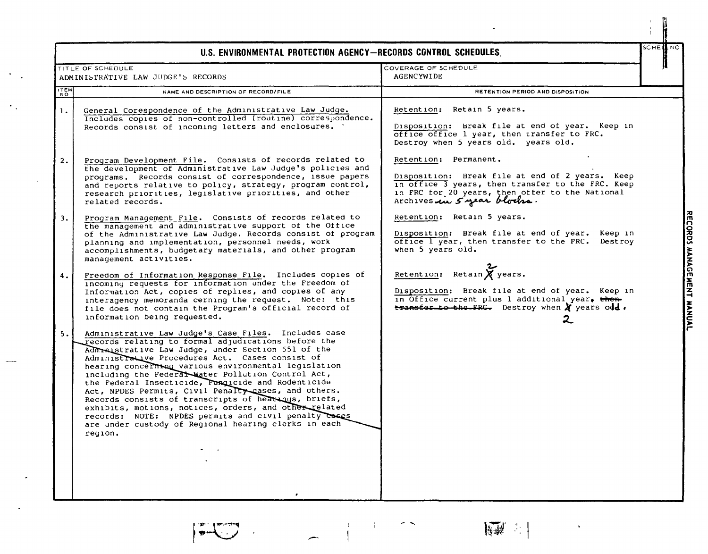|                | U.S. ENVIRONMENTAL PROTECTION AGENCY-RECORDS CONTROL SCHEDULES.                                                                                                                                                                                                                                                                                                                                                                                                                                                                                                                                                                                                                              |                                                                                                                                                                                                                | SCHE∰NO |
|----------------|----------------------------------------------------------------------------------------------------------------------------------------------------------------------------------------------------------------------------------------------------------------------------------------------------------------------------------------------------------------------------------------------------------------------------------------------------------------------------------------------------------------------------------------------------------------------------------------------------------------------------------------------------------------------------------------------|----------------------------------------------------------------------------------------------------------------------------------------------------------------------------------------------------------------|---------|
|                | TITLE OF SCHEDULE                                                                                                                                                                                                                                                                                                                                                                                                                                                                                                                                                                                                                                                                            | COVERAGE OF SCHEDULE                                                                                                                                                                                           |         |
|                | ADMINISTRATIVE LAW JUDGE'S RECORDS                                                                                                                                                                                                                                                                                                                                                                                                                                                                                                                                                                                                                                                           | <b>AGENCYWIDE</b>                                                                                                                                                                                              |         |
| ITEM<br>NO     | NAME AND DESCRIPTION OF RECORD/FILE                                                                                                                                                                                                                                                                                                                                                                                                                                                                                                                                                                                                                                                          | RETENTION PERIOD AND DISPOSITION                                                                                                                                                                               |         |
| $\mathbf{1}$ . | General Corespondence of the Administrative Law Judge.<br>Includes copies of non-controlled (routine) correspondence.<br>Records consist of incoming letters and enclosures. `                                                                                                                                                                                                                                                                                                                                                                                                                                                                                                               | Retention: Retain 5 years.<br>Disposition: Break file at end of year. Keep in<br>office office 1 year, then transfer to FRC.<br>Destroy when 5 years old. years old.                                           |         |
| 2.             | Program Development File. Consists of records related to<br>the development of Administrative Law Judge's policies and<br>programs. Records consist of correspondence, issue papers<br>and reports relative to policy, strategy, program control,<br>research priorities, legislative priorities, and other<br>related records.                                                                                                                                                                                                                                                                                                                                                              | Retention: Permanent.<br>Disposition: Break file at end of 2 years. Keep<br>in office 3 years, then transfer to the FRC. Keep<br>in FRC for 20 years, then offer to the National<br>Archives in 5 year blocks. |         |
| 3.             | Program Management File. Consists of records related to<br>the management and administrative support of the Office<br>of the Administrative Law Judge. Records consist of program<br>planning and implementation, personnel needs, work<br>accomplishments, budgetary materials, and other program<br>management activities.                                                                                                                                                                                                                                                                                                                                                                 | Retention: Retain 5 years.<br>Disposition: Break file at end of year. Keep in<br>office I year, then transfer to the FRC. Destroy<br>when 5 years old.                                                         |         |
| 4.             | Freedom of Information Response File. Includes copies of<br>incoming requests for information under the Freedom of<br>Information Act, copies of replies, and copies of any<br>interagency memoranda cerning the request. Note: this<br>file does not contain the Program's official record of<br>information being requested.                                                                                                                                                                                                                                                                                                                                                               | Retention: Retain $\chi$ years.<br>Disposition: Break file at end of year. Keep in<br>in Office current plus 1 additional year, then<br>$t$ ransfer to the FRG. Destroy when $x$ years old.                    |         |
| 5.             | Administrative Law Judge's Case Files. Includes case<br>records relating to formal adjudications before the<br>Admraistrative Law Judge, under Section 551 of the<br>Administrative Procedures Act. Cases consist of<br>hearing concerning various environmental legislation<br>including the Federal Water Pollution Control Act,<br>the Federal Insecticide, Fungicide and Rodenticide<br>Act, NPDES Permits, Civil Penalty cases, and others.<br>Records consists of transcripts of hearings, briefs,<br>exhibits, motions, notices, orders, and other related<br>records: NOTE: NPDES permits and civil penalty cases<br>are under custody of Regional hearing clerks in each<br>region. |                                                                                                                                                                                                                |         |

RECORDS MANAGEMENT MANUAL

N

 $\sqrt{2}$ 

 $\bullet$ 

 $\boldsymbol{\gamma}$  .

 $\begin{array}{c} 1 \\ 1 \end{array}$  $\sim$  $\sim 10$ 

 $\frac{1}{\left|\frac{1}{\left|\frac{1}{\left|\frac{1}{\left|\frac{1}{\left|\frac{1}{\left|\frac{1}{\left|\frac{1}{\left|\frac{1}{\left|\frac{1}{\left|\frac{1}{\left|\frac{1}{\left|\frac{1}{\left|\frac{1}{\left|\frac{1}{\left|\frac{1}{\left|\frac{1}{\left|\frac{1}{\left|\frac{1}{\left|\frac{1}{\left|\frac{1}{\left|\frac{1}{\left|\frac{1}{\left|\frac{1}{\left|\frac{1}{\left|\frac{1}{\left|\frac{1}{\left|\frac{1}{\left|\frac{1}{\left|\frac{1}{\left|\frac{1}{\left|\frac{$ 

 $\ddot{\phantom{0}}$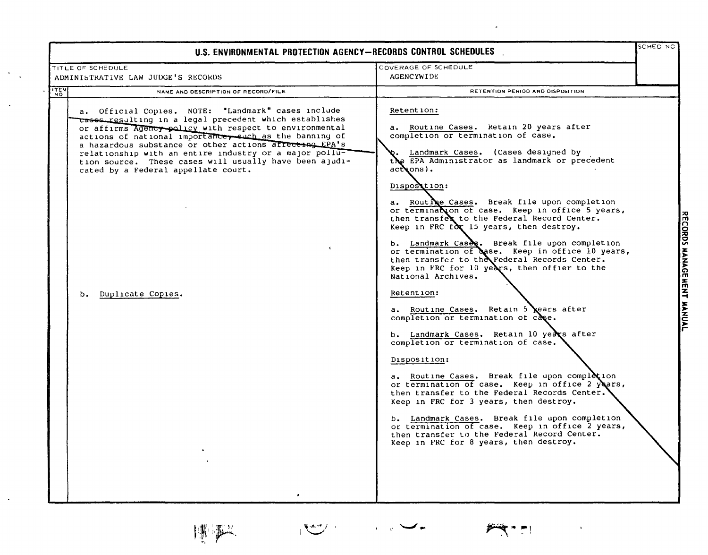| U.S. ENVIRONMENTAL PROTECTION AGENCY-RECORDS CONTROL SCHEDULES                                                                                                                                                                                                                                                                                                                                                                                                                   |                                                                                                                                                                                                                                                                                                                                                                                                                                                                                                                                                                                                                                                                                                                                                                                                                                                                                                                                                                                                                                                                                                                                                                                                                                       | SCHED NC           |
|----------------------------------------------------------------------------------------------------------------------------------------------------------------------------------------------------------------------------------------------------------------------------------------------------------------------------------------------------------------------------------------------------------------------------------------------------------------------------------|---------------------------------------------------------------------------------------------------------------------------------------------------------------------------------------------------------------------------------------------------------------------------------------------------------------------------------------------------------------------------------------------------------------------------------------------------------------------------------------------------------------------------------------------------------------------------------------------------------------------------------------------------------------------------------------------------------------------------------------------------------------------------------------------------------------------------------------------------------------------------------------------------------------------------------------------------------------------------------------------------------------------------------------------------------------------------------------------------------------------------------------------------------------------------------------------------------------------------------------|--------------------|
| TITLE OF SCHEDULE                                                                                                                                                                                                                                                                                                                                                                                                                                                                | COVERAGE OF SCHEDULE                                                                                                                                                                                                                                                                                                                                                                                                                                                                                                                                                                                                                                                                                                                                                                                                                                                                                                                                                                                                                                                                                                                                                                                                                  |                    |
| ADMINISTRATIVE LAW JUDGE'S RECORDS                                                                                                                                                                                                                                                                                                                                                                                                                                               | AGENCYWIDE                                                                                                                                                                                                                                                                                                                                                                                                                                                                                                                                                                                                                                                                                                                                                                                                                                                                                                                                                                                                                                                                                                                                                                                                                            |                    |
| <b>ITEM</b><br>NAME AND DESCRIPTION OF RECORD/FILE<br><b>NO</b>                                                                                                                                                                                                                                                                                                                                                                                                                  | RETENTION PERIOD AND DISPOSITION                                                                                                                                                                                                                                                                                                                                                                                                                                                                                                                                                                                                                                                                                                                                                                                                                                                                                                                                                                                                                                                                                                                                                                                                      |                    |
| a. Official Copies. NOTE: "Landmark" cases include<br>cases resulting in a legal precedent which establishes<br>or affirms Agency policy with respect to environmental<br>actions of national importance, such as the banning of<br>a hazardous substance or other actions affecting EPA's<br>relationship with an entire industry or a major pollu-<br>tion source. These cases will usually have been ajudi-<br>cated by a Federal appellate court.<br>Duplicate Copies.<br>b. | Retention:<br>a. Routine Cases. Retain 20 years after<br>completion or termination of case.<br>Landmark Cases. (Cases designed by<br>the EPA Administrator as landmark or precedent<br>$ack$ ons).<br>Dispostion:<br>a. Routine Cases. Break file upon completion<br>or termination of case. Keep in office 5 years,<br>then transfex to the Federal Record Center.<br>Keep in FRC $f(x)$ 15 years, then destroy.<br>b. Landmark Cases. Break file upon completion<br>or termination of case. Keep in office 10 years,<br>then transfer to the Federal Records Center.<br>Keep in FRC for 10 years, then offier to the<br>National Archives.<br>Retention:<br>a. Routine Cases. Retain 5 ears after<br>completion or termination of case.<br>b. Landmark Cases. Retain 10 years after<br>completion or termination of case.<br>Disposition:<br>a. Routine Cases. Break file upon completion<br>or termination of case. Keep in office 2 years,<br>then transfer to the Federal Records Center.<br>Keep in FRC for 3 years, then destroy.<br>b. Landmark Cases. Break file upon completion<br>or termination of case. Keep in office 2 years,<br>then transfer to the Federal Record Center.<br>Keep in FRC for 8 years, then destroy. | <b>MENT MANUAL</b> |

 $\frac{1}{2} \left( \frac{1}{2} \right)^2 \left( \frac{1}{2} \right)^2 \left( \frac{1}{2} \right)^2$ 

 $\frac{1}{2}$ 

博学

 $\frac{1}{2}$  .

 $\ddot{\phantom{1}}$ 

 $\ddot{\phantom{a}}$ 

 $\mathcal{A}$ 

 $P^2$ 

 $\lambda_{\rm c}$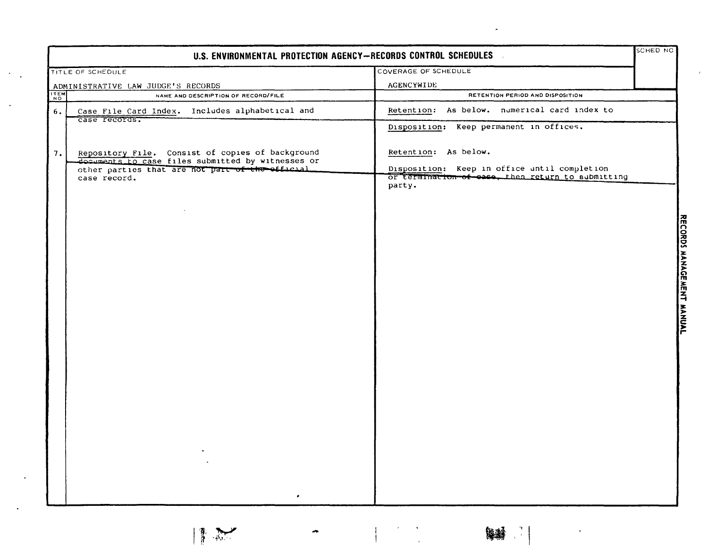|                                    | U.S. ENVIRONMENTAL PROTECTION AGENCY-RECORDS CONTROL SCHEDULES                                        |                                                             | <b>SCHED NC</b> |
|------------------------------------|-------------------------------------------------------------------------------------------------------|-------------------------------------------------------------|-----------------|
|                                    | TITLE OF SCHEDULE                                                                                     | COVERAGE OF SCHEDULE                                        |                 |
| ADMINISTRATIVE LAW JUDGE'S RECORDS |                                                                                                       | <b>AGENCYWIDE</b>                                           |                 |
| <b>ITEM</b>                        | NAME AND DESCRIPTION OF RECORD/FILE                                                                   | RETENTION PERIOD AND DISPOSITION                            |                 |
| 6.                                 | Case File Card Index. Includes alphabetical and<br>case records.                                      | Retention: As below. numerical card index to                |                 |
|                                    |                                                                                                       | Disposition: Keep permanent in offices.                     |                 |
| 7.                                 | Repository File. Consist of copies of background<br>documents to case files submitted by witnesses or | Retention: As below.                                        |                 |
|                                    | other parties that are not part of the efficial                                                       | Disposition: Keep in office until completion                |                 |
|                                    | case record.                                                                                          | or termination of ease, then return to aubmitting<br>party. |                 |
|                                    |                                                                                                       |                                                             |                 |
|                                    |                                                                                                       |                                                             |                 |
|                                    |                                                                                                       |                                                             |                 |
|                                    |                                                                                                       |                                                             |                 |
|                                    |                                                                                                       |                                                             |                 |
|                                    |                                                                                                       |                                                             |                 |
|                                    |                                                                                                       |                                                             |                 |
|                                    |                                                                                                       |                                                             |                 |
|                                    |                                                                                                       |                                                             |                 |
|                                    |                                                                                                       |                                                             |                 |
|                                    |                                                                                                       |                                                             |                 |
|                                    |                                                                                                       |                                                             |                 |
|                                    |                                                                                                       |                                                             |                 |
|                                    |                                                                                                       |                                                             |                 |
|                                    |                                                                                                       |                                                             |                 |
|                                    |                                                                                                       |                                                             |                 |
|                                    |                                                                                                       |                                                             |                 |

 $\begin{bmatrix} \begin{matrix} 1 & 0 \\ 0 & 0 \end{matrix} & \begin{matrix} 0 & 0 \\ 0 & 1 \end{matrix} & \begin{matrix} 0 & 0 \\ 0 & 1 \end{matrix} & \begin{matrix} 0 & 0 \\ 0 & 1 \end{matrix} & \begin{matrix} 0 & 0 \\ 0 & 1 \end{matrix} & \begin{matrix} 0 & 0 \\ 0 & 1 \end{matrix} & \begin{matrix} 0 & 0 \\ 0 & 1 \end{matrix} & \begin{matrix} 0 & 0 \\ 0 & 1 \end{matrix} & \begin{matrix} 0 & 0 \\ 0 & 1 \end{matrix} & \begin{matrix} 0 & 0 \\ 0 & 1$ 

 $\mathbf{r}$ 

 $\frac{1}{2}$ 

 $\boldsymbol{t}$ 

1

ה<br>ח